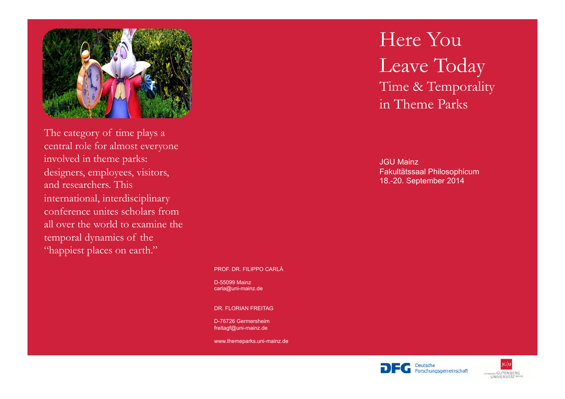

The category of time plays a central role for almost everyone involved in theme parks: designers, employees, visitors, and researchers. This international, interdisciplinary conference unites scholars from all over the world to examine the temporal dynamics of the "happiest places on earth."

#### PROF. DR. FILIPPO CARLÀ

D-55099 Mainz carla@uni-mainz.de

DR. FLORIAN FREITAG

D-76726 Germersheim freitagf@uni-mainz.de

www.themeparks.uni-mainz.de

# Here You Leave Today Time & Temporality in Theme Parks

JGU Mainz Fakultätssaal Philosophicum 18.-20. September 2014